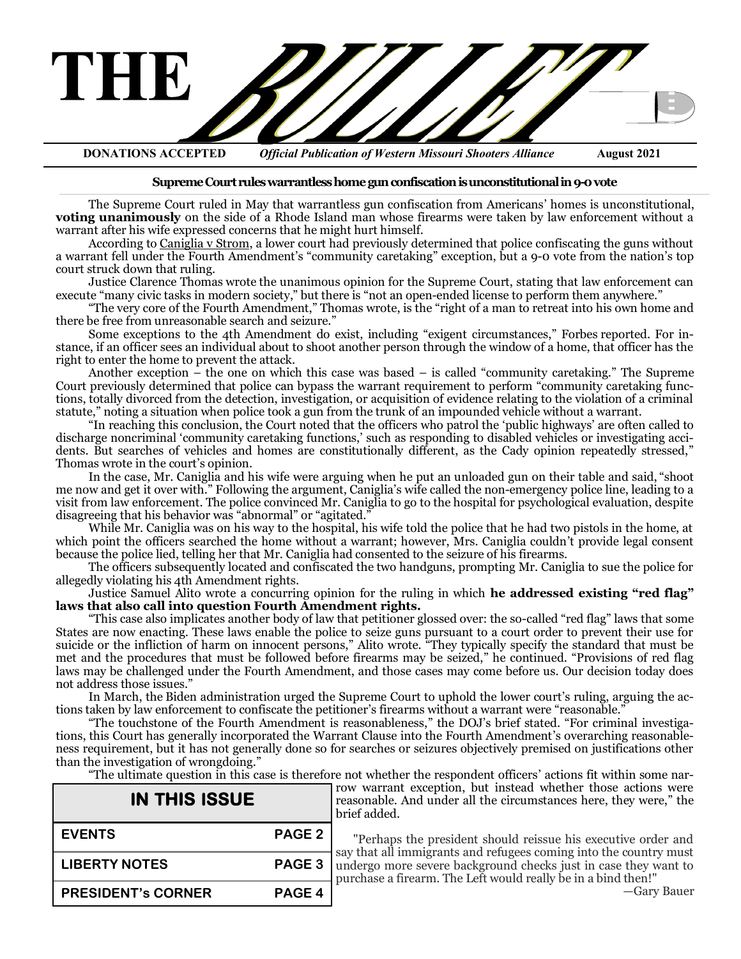

**DONATIONS ACCEPTED** *Official Publication of Western Missouri Shooters Alliance* **August 2021**

#### **Supreme Court rules warrantless home gun confiscation is unconstitutional in 9-0 vote**

The Supreme Court ruled in May that warrantless gun confiscation from Americans' homes is unconstitutional, **voting unanimously** on the side of a Rhode Island man whose firearms were taken by law enforcement without a warrant after his wife expressed concerns that he might hurt himself.

According to [Caniglia v Strom,](https://www.scotusblog.com/case-files/cases/caniglia-v-strom/) a lower court had previously determined that police confiscating the guns without a warrant fell under the Fourth Amendment's "community caretaking" exception, but a 9-0 vote from the nation's top court struck down that ruling.

Justice Clarence Thomas [wrote](https://www.supremecourt.gov/opinions/20pdf/20-157_8mjp.pdf) the unanimous opinion for the Supreme Court, stating that law enforcement can execute "many civic tasks in modern society," but there is "not an open-ended license to perform them anywhere."

"The very core of the Fourth Amendment," Thomas wrote, is the "right of a man to retreat into his own home and there be free from unreasonable search and seizure."

Some exceptions to the 4th Amendment do exist, including "exigent circumstances," Forbes [reported.](https://www.forbes.com/sites/evangerstmann/2021/02/05/supreme-court-will-decide-whether-police-can-enter-a-home-to-seize-guns-without-a-warrant/?sh=3f43eaac5bb4) For instance, if an officer sees an individual about to shoot another person through the window of a home, that officer has the right to enter the home to prevent the attack.

Another exception  $-\overline{ }$  the one on which this case was based  $-\overline{ }$  is called "community caretaking." The Supreme Court previously determined that police can bypass the warrant requirement to perform "community caretaking functions, totally divorced from the detection, investigation, or acquisition of evidence relating to the violation of a criminal statute," noting a situation when police took a gun from the trunk of an impounded vehicle without a warrant.

"In reaching this conclusion, the Court noted that the officers who patrol the 'public highways' are often called to discharge noncriminal 'community caretaking functions,' such as responding to disabled vehicles or investigating accidents. But searches of vehicles and homes are constitutionally different, as the Cady opinion repeatedly stressed," Thomas wrote in the court's opinion.

In the case, Mr. Caniglia and his wife were arguing when he put an unloaded gun on their table and said, "shoot me now and get it over with." Following the argument, Caniglia's wife called the non-emergency police line, leading to a visit from law enforcement. The police convinced Mr. Caniglia to go to the hospital for psychological evaluation, despite disagreeing that his behavior was "abnormal" or "agitated."

While Mr. Caniglia was on his way to the hospital, his wife told the police that he had two pistols in the home, at which point the officers searched the home without a warrant; however, Mrs. Caniglia couldn't provide legal consent because the police lied, telling her that Mr. Caniglia had consented to the seizure of his firearms.

The officers subsequently located and confiscated the two handguns, prompting Mr. Caniglia to sue the police for allegedly violating his 4th Amendment rights.

Justice Samuel Alito wrote a concurring opinion for the ruling in which **he addressed existing "red flag" laws that also call into question Fourth Amendment rights.**

"This case also implicates another body of law that petitioner glossed over: the so-called "red flag" laws that some States are now enacting. These laws enable the police to seize guns pursuant to a court order to prevent their use for suicide or the infliction of harm on innocent persons," Alito wrote. "They typically specify the standard that must be met and the procedures that must be followed before firearms may be seized," he continued. "Provisions of red flag laws may be challenged under the Fourth Amendment, and those cases may come before us. Our decision today does not address those issues."

In March, the [Biden administration urged the Supreme Court to uphold the lower court](https://americanmilitarynews.com/2021/03/biden-admin-calls-on-supreme-court-to-allow-warrantless-gun-confiscation-from-homes/)'s ruling, arguing the actions taken by law enforcement to confiscate the petitioner's firearms without a warrant were "reasonable."

"The touchstone of the Fourth Amendment is reasonableness," the DOJ's brief stated. "For criminal investigations, this Court has generally incorporated the Warrant Clause into the Fourth Amendment's overarching reasonableness requirement, but it has not generally done so for searches or seizures objectively premised on justifications other than the investigation of wrongdoing."

brief added.

"The ultimate question in this case is therefore not whether the respondent officers' actions fit within some narrow warrant exception, but instead whether those actions were

| <b>IN THIS ISSUE</b>      |                   |  |
|---------------------------|-------------------|--|
| <b>EVENTS</b>             | PAGE <sub>2</sub> |  |
| <b>LIBERTY NOTES</b>      | PAGE <sub>3</sub> |  |
| <b>PRESIDENT's CORNER</b> | PAGE <sub>4</sub> |  |

"Perhaps the president should reissue his executive order and say that all immigrants and refugees coming into the country must undergo more severe background checks just in case they want to

reasonable. And under all the circumstances here, they were," the

purchase a firearm. The Left would really be in a bind then!" —Gary Bauer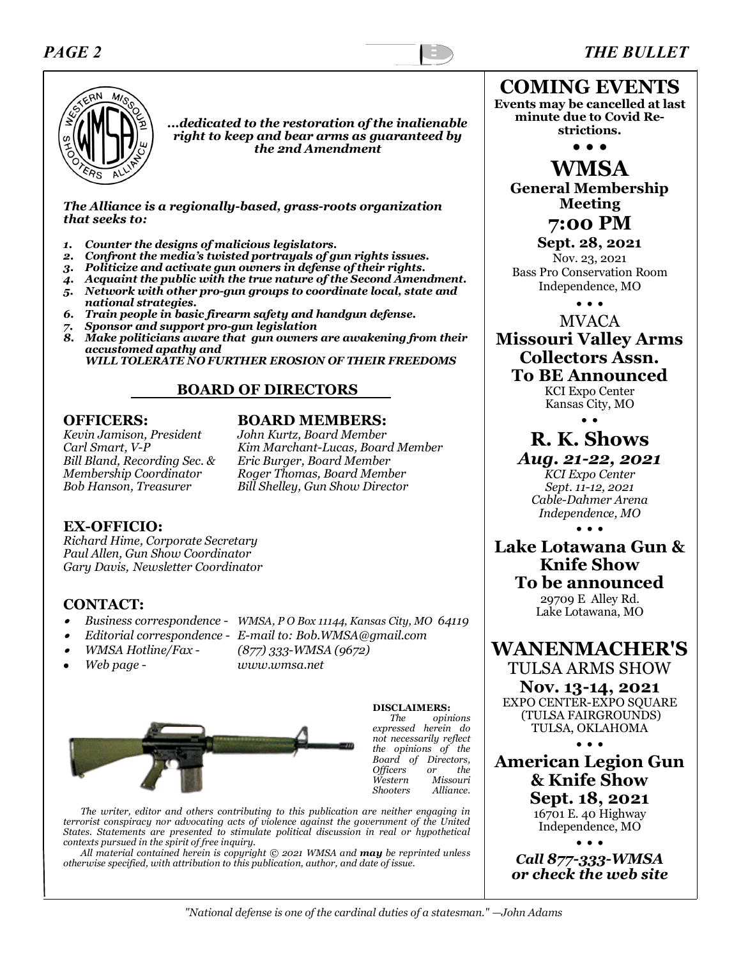### *PAGE 2 THE BULLET*



*...dedicated to the restoration of the inalienable right to keep and bear arms as guaranteed by the 2nd Amendment*

*The Alliance is a regionally-based, grass-roots organization that seeks to:*

- *1. Counter the designs of malicious legislators.*
- *2. Confront the media's twisted portrayals of gun rights issues.*
- *3. Politicize and activate gun owners in defense of their rights.*
- *4. Acquaint the public with the true nature of the Second Amendment.*
- *5. Network with other pro-gun groups to coordinate local, state and national strategies.*
- *6. Train people in basic firearm safety and handgun defense.*
- *7. Sponsor and support pro-gun legislation*
- *8. Make politicians aware that gun owners are awakening from their accustomed apathy and*

 *WILL TOLERATE NO FURTHER EROSION OF THEIR FREEDOMS*

### **BOARD OF DIRECTORS**

*Kevin Jamison, President John Kurtz, Board Member Bill Bland, Recording Sec. & Eric Burger, Board Member*

# **OFFICERS: BOARD MEMBERS:**<br>*Kevin Jamison, President John Kurtz, Board Member*

*Carl Smart, V-P Kim Marchant-Lucas, Board Member Membership Coordinator Roger Thomas, Board Member Bob Hanson, Treasurer Bill Shelley, Gun Show Director* 

#### **EX-OFFICIO:**

*Richard Hime, Corporate Secretary Paul Allen, Gun Show Coordinator Gary Davis, Newsletter Coordinator*

#### **CONTACT:**

- •*Business correspondence - WMSA, P O Box 11144, Kansas City, MO 64119*
- •*Editorial correspondence - E-mail to: Bob.WMSA@gmail.com*
- •
- *WMSA Hotline/Fax - (877) 333-WMSA (9672)* • *Web page - www.wmsa.net*
- 

**DISCLAIMERS:**  *The opinions expressed herein do not necessarily reflect the opinions of the Board of Directors, Officers or the Western Missouri Shooters Alliance.*

*The writer, editor and others contributing to this publication are neither engaging in terrorist conspiracy nor advocating acts of violence against the government of the United States. Statements are presented to stimulate political discussion in real or hypothetical contexts pursued in the spirit of free inquiry.*

*All material contained herein is copyright © 2021 WMSA and may be reprinted unless otherwise specified, with attribution to this publication, author, and date of issue.*

**COMING EVENTS Events may be cancelled at last minute due to Covid Restrictions.**

**• • •**

**WMSA General Membership Meeting**

**7:00 PM**

**Sept. 28, 2021** Nov. 23, 2021 Bass Pro Conservation Room Independence, MO

• • •

MVACA **Missouri Valley Arms Collectors Assn. To BE Announced**

KCI Expo Center Kansas City, MO

• •

# **R. K. Shows**

## *Aug. 21-22, 2021*

*KCI Expo Center Sept. 11-12, 2021 Cable-Dahmer Arena Independence, MO* • • •

**Lake Lotawana Gun & Knife Show To be announced** 29709 E Alley Rd.

Lake Lotawana, MO

**WANENMACHER'S**

TULSA ARMS SHOW **Nov. 13-14, 2021** EXPO CENTER-EXPO SOUARE (TULSA FAIRGROUNDS) TULSA, OKLAHOMA • • •

**American Legion Gun & Knife Show Sept. 18, 2021**

16701 E. 40 Highway Independence, MO

• • • *Call 877-333-WMSA or check the web site*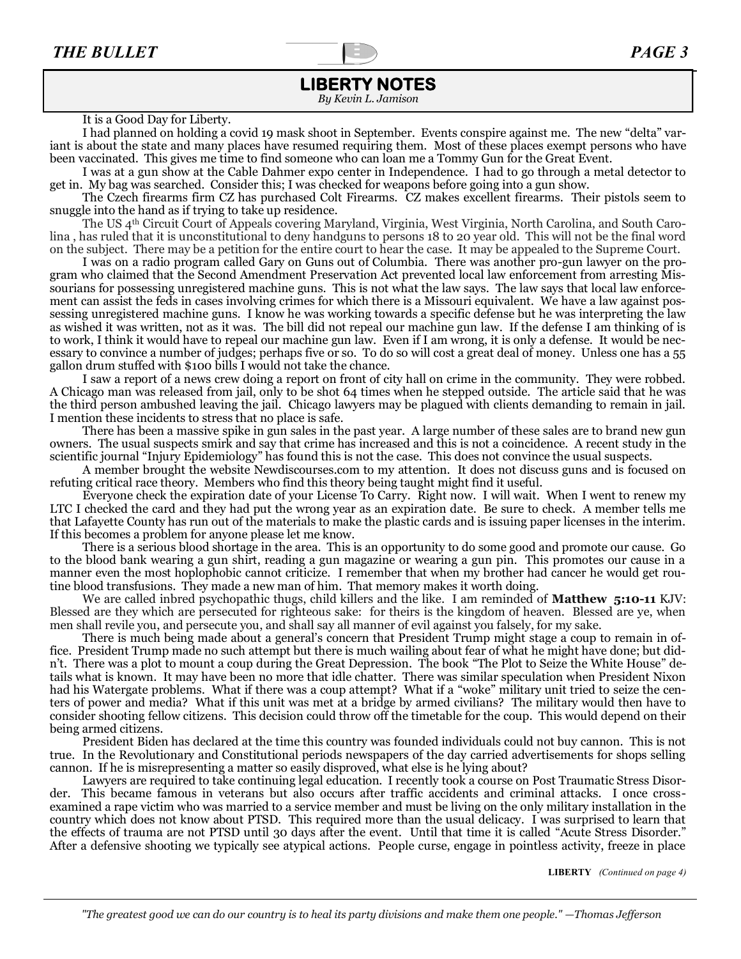### **LIBERTY NOTES**

*By Kevin L. Jamison*

#### It is a Good Day for Liberty.

I had planned on holding a covid 19 mask shoot in September. Events conspire against me. The new "delta" variant is about the state and many places have resumed requiring them. Most of these places exempt persons who have been vaccinated. This gives me time to find someone who can loan me a Tommy Gun for the Great Event.

I was at a gun show at the Cable Dahmer expo center in Independence. I had to go through a metal detector to get in. My bag was searched. Consider this; I was checked for weapons before going into a gun show.

The Czech firearms firm CZ has purchased Colt Firearms. CZ makes excellent firearms. Their pistols seem to snuggle into the hand as if trying to take up residence.

The US 4th Circuit Court of Appeals covering Maryland, Virginia, West Virginia, North Carolina, and South Carolina , has ruled that it is unconstitutional to deny handguns to persons 18 to 20 year old. This will not be the final word on the subject. There may be a petition for the entire court to hear the case. It may be appealed to the Supreme Court.

I was on a radio program called Gary on Guns out of Columbia. There was another pro-gun lawyer on the program who claimed that the Second Amendment Preservation Act prevented local law enforcement from arresting Missourians for possessing unregistered machine guns. This is not what the law says. The law says that local law enforcement can assist the feds in cases involving crimes for which there is a Missouri equivalent. We have a law against possessing unregistered machine guns. I know he was working towards a specific defense but he was interpreting the law as wished it was written, not as it was. The bill did not repeal our machine gun law. If the defense I am thinking of is to work, I think it would have to repeal our machine gun law. Even if I am wrong, it is only a defense. It would be necessary to convince a number of judges; perhaps five or so. To do so will cost a great deal of money. Unless one has a 55 gallon drum stuffed with \$100 bills I would not take the chance.

I saw a report of a news crew doing a report on front of city hall on crime in the community. They were robbed. A Chicago man was released from jail, only to be shot 64 times when he stepped outside. The article said that he was the third person ambushed leaving the jail. Chicago lawyers may be plagued with clients demanding to remain in jail. I mention these incidents to stress that no place is safe.

There has been a massive spike in gun sales in the past year. A large number of these sales are to brand new gun owners. The usual suspects smirk and say that crime has increased and this is not a coincidence. A recent study in the scientific journal "Injury Epidemiology" has found this is not the case. This does not convince the usual suspects.

A member brought the website Newdiscourses.com to my attention. It does not discuss guns and is focused on refuting critical race theory. Members who find this theory being taught might find it useful.

Everyone check the expiration date of your License To Carry. Right now. I will wait. When I went to renew my LTC I checked the card and they had put the wrong year as an expiration date. Be sure to check. A member tells me that Lafayette County has run out of the materials to make the plastic cards and is issuing paper licenses in the interim. If this becomes a problem for anyone please let me know.

There is a serious blood shortage in the area. This is an opportunity to do some good and promote our cause. Go to the blood bank wearing a gun shirt, reading a gun magazine or wearing a gun pin. This promotes our cause in a manner even the most hoplophobic cannot criticize. I remember that when my brother had cancer he would get routine blood transfusions. They made a new man of him. That memory makes it worth doing.

We are called inbred psychopathic thugs, child killers and the like. I am reminded of **Matthew 5:10-11** KJV: Blessed are they which are persecuted for righteous sake: for theirs is the kingdom of heaven. Blessed are ye, when men shall revile you, and persecute you, and shall say all manner of evil against you falsely, for my sake.

There is much being made about a general's concern that President Trump might stage a coup to remain in office. President Trump made no such attempt but there is much wailing about fear of what he might have done; but didn't. There was a plot to mount a coup during the Great Depression. The book "The Plot to Seize the White House" details what is known. It may have been no more that idle chatter. There was similar speculation when President Nixon had his Watergate problems. What if there was a coup attempt? What if a "woke" military unit tried to seize the centers of power and media? What if this unit was met at a bridge by armed civilians? The military would then have to consider shooting fellow citizens. This decision could throw off the timetable for the coup. This would depend on their being armed citizens.

President Biden has declared at the time this country was founded individuals could not buy cannon. This is not true. In the Revolutionary and Constitutional periods newspapers of the day carried advertisements for shops selling cannon. If he is misrepresenting a matter so easily disproved, what else is he lying about?

Lawyers are required to take continuing legal education. I recently took a course on Post Traumatic Stress Disorder. This became famous in veterans but also occurs after traffic accidents and criminal attacks. I once crossexamined a rape victim who was married to a service member and must be living on the only military installation in the country which does not know about PTSD. This required more than the usual delicacy. I was surprised to learn that the effects of trauma are not PTSD until 30 days after the event. Until that time it is called "Acute Stress Disorder." After a defensive shooting we typically see atypical actions. People curse, engage in pointless activity, freeze in place

**LIBERTY** *(Continued on page 4)*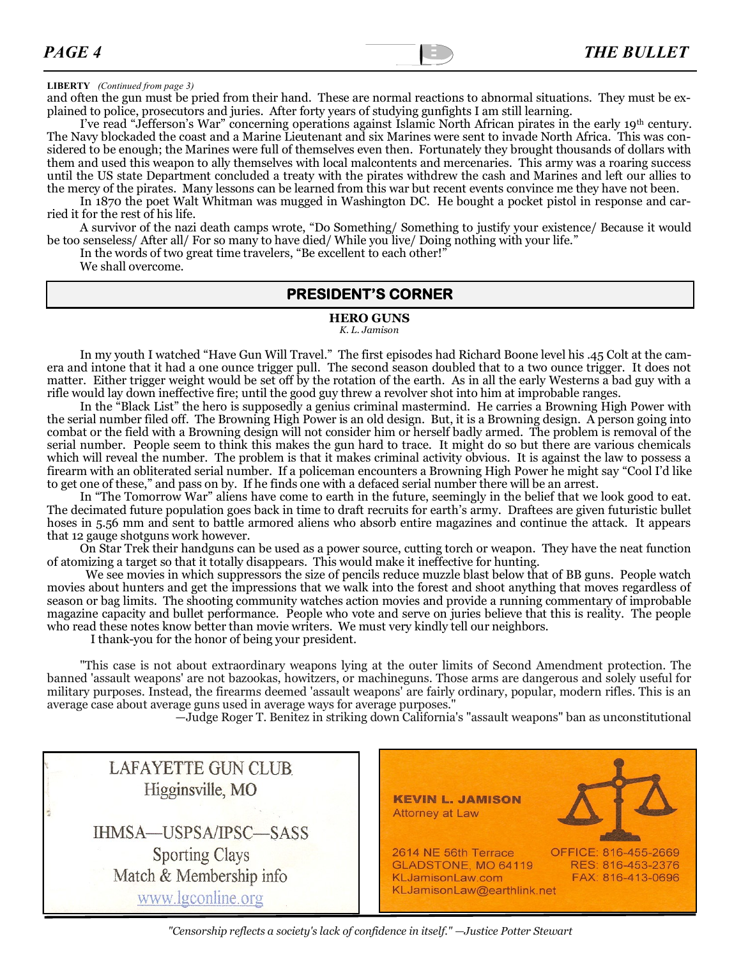#### **LIBERTY** *(Continued from page 3)*

and often the gun must be pried from their hand. These are normal reactions to abnormal situations. They must be explained to police, prosecutors and juries. After forty years of studying gunfights I am still learning.

I've read "Jefferson's War" concerning operations against Islamic North African pirates in the early 19th century. The Navy blockaded the coast and a Marine Lieutenant and six Marines were sent to invade North Africa. This was considered to be enough; the Marines were full of themselves even then. Fortunately they brought thousands of dollars with them and used this weapon to ally themselves with local malcontents and mercenaries. This army was a roaring success until the US state Department concluded a treaty with the pirates withdrew the cash and Marines and left our allies to the mercy of the pirates. Many lessons can be learned from this war but recent events convince me they have not been.

In 1870 the poet Walt Whitman was mugged in Washington DC. He bought a pocket pistol in response and carried it for the rest of his life.

A survivor of the nazi death camps wrote, "Do Something/ Something to justify your existence/ Because it would be too senseless/ After all/ For so many to have died/ While you live/ Doing nothing with your life."

In the words of two great time travelers, "Be excellent to each other!"

We shall overcome.

#### **PRESIDENT'S CORNER**

#### **HERO GUNS**

*K. L. Jamison*

In my youth I watched "Have Gun Will Travel." The first episodes had Richard Boone level his .45 Colt at the camera and intone that it had a one ounce trigger pull. The second season doubled that to a two ounce trigger. It does not matter. Either trigger weight would be set off by the rotation of the earth. As in all the early Westerns a bad guy with a rifle would lay down ineffective fire; until the good guy threw a revolver shot into him at improbable ranges.

In the "Black List" the hero is supposedly a genius criminal mastermind. He carries a Browning High Power with the serial number filed off. The Browning High Power is an old design. But, it is a Browning design. A person going into combat or the field with a Browning design will not consider him or herself badly armed. The problem is removal of the serial number. People seem to think this makes the gun hard to trace. It might do so but there are various chemicals which will reveal the number. The problem is that it makes criminal activity obvious. It is against the law to possess a firearm with an obliterated serial number. If a policeman encounters a Browning High Power he might say "Cool I'd like to get one of these," and pass on by. If he finds one with a defaced serial number there will be an arrest.

In "The Tomorrow War" aliens have come to earth in the future, seemingly in the belief that we look good to eat. The decimated future population goes back in time to draft recruits for earth's army. Draftees are given futuristic bullet hoses in 5.56 mm and sent to battle armored aliens who absorb entire magazines and continue the attack. It appears that 12 gauge shotguns work however.

On Star Trek their handguns can be used as a power source, cutting torch or weapon. They have the neat function of atomizing a target so that it totally disappears. This would make it ineffective for hunting.

 We see movies in which suppressors the size of pencils reduce muzzle blast below that of BB guns. People watch movies about hunters and get the impressions that we walk into the forest and shoot anything that moves regardless of season or bag limits. The shooting community watches action movies and provide a running commentary of improbable magazine capacity and bullet performance. People who vote and serve on juries believe that this is reality. The people who read these notes know better than movie writers. We must very kindly tell our neighbors.

I thank-you for the honor of being your president.

"This case is not about extraordinary weapons lying at the outer limits of Second Amendment protection. The banned 'assault weapons' are not bazookas, howitzers, or machineguns. Those arms are dangerous and solely useful for military purposes. Instead, the firearms deemed 'assault weapons' are fairly ordinary, popular, modern rifles. This is an average case about average guns used in average ways for average purposes."

—Judge Roger T. Benitez in striking down California's "assault weapons" ban as unconstitutional

| <b>LAFAYETTE GUN CLUB</b><br>Higginsville, MO<br>IHMSA-USPSA/IPSC-SASS | <b>KEVIN L. JAMISON</b><br>Attorney at Law                                                                                                                      |
|------------------------------------------------------------------------|-----------------------------------------------------------------------------------------------------------------------------------------------------------------|
| <b>Sporting Clays</b><br>Match & Membership info<br>www.lgconline.org  | 2614 NE 56th Terrace<br>OFFICE: 816-455-2669<br>GLADSTONE, MO 64119<br>RES: 816-453-2376<br>KLJamisonLaw.com<br>FAX: 816-413-0696<br>KLJamisonLaw@earthlink.net |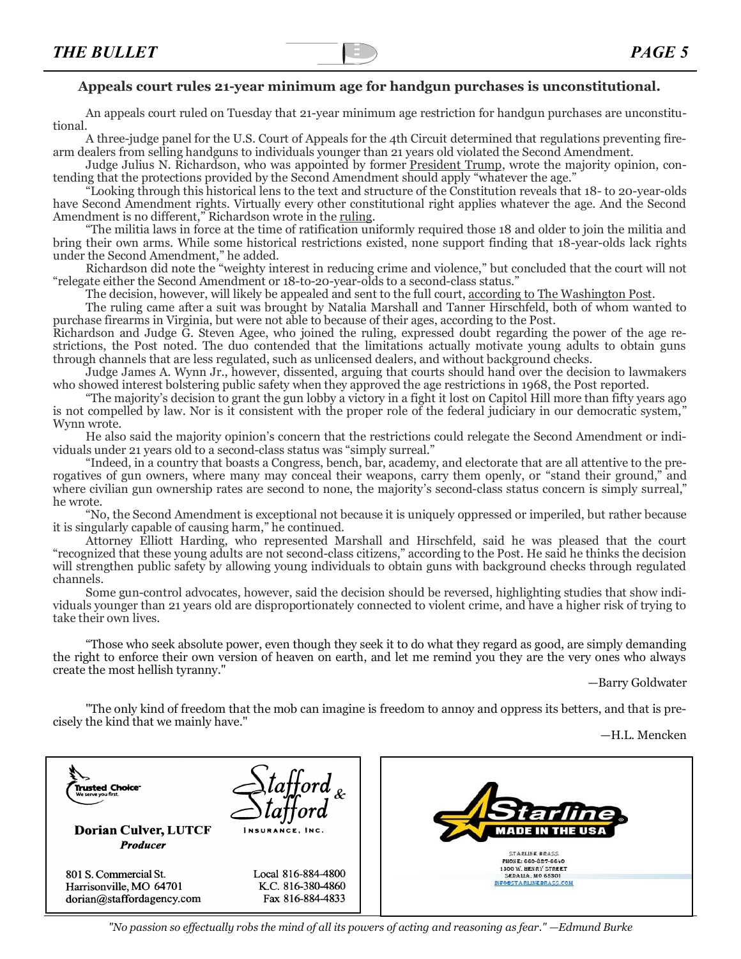#### **Appeals court rules 21-year minimum age for handgun purchases is unconstitutional.**

An appeals court ruled on Tuesday that 21-year minimum age restriction for handgun purchases are unconstitutional.

A three-judge panel for the U.S. Court of Appeals for the 4th Circuit determined that regulations preventing firearm dealers from selling handguns to individuals younger than 21 years old violated the Second Amendment.

Judge Julius N. Richardson, who was appointed by former [President Trump,](https://thehill.com/people/donald-trump) wrote the majority opinion, contending that the protections provided by the Second Amendment should apply "whatever the age."

"Looking through this historical lens to the text and structure of the Constitution reveals that 18- to 20-year-olds have Second Amendment rights. Virtually every other constitutional right applies whatever the age. And the Second Amendment is no different," Richardson wrote in the [ruling.](https://dl.airtable.com/.attachments/2b64e94e6bedcf176e69bb09eb6a53f3/cb041389/HirschfeldvATFOpinion.pdf)

"The militia laws in force at the time of ratification uniformly required those 18 and older to join the militia and bring their own arms. While some historical restrictions existed, none support finding that 18-year-olds lack rights under the Second Amendment," he added.

Richardson did note the "weighty interest in reducing crime and violence," but concluded that the court will not "relegate either the Second Amendment or 18-to-20-year-olds to a second-class status."

The decision, however, will likely be appealed and sent to the full court, [according to The Washington Post.](https://www.washingtonpost.com/politics/courts_law/gun-laws-age-requirement/2021/07/13/574446b8-e3f3-11eb-8aa5-5662858b696e_story.html)

The ruling came after a suit was brought by Natalia Marshall and Tanner Hirschfeld, both of whom wanted to purchase firearms in Virginia, but were not able to because of their ages, according to the Post.

Richardson and Judge G. Steven Agee, who joined the ruling, expressed doubt regarding the power of the age restrictions, the Post noted. The duo contended that the limitations actually motivate young adults to obtain guns through channels that are less regulated, such as unlicensed dealers, and without background checks.

Judge James A. Wynn Jr., however, dissented, arguing that courts should hand over the decision to lawmakers who showed interest bolstering public safety when they approved the age restrictions in 1968, the Post reported.

"The majority's decision to grant the gun lobby a victory in a fight it lost on Capitol Hill more than fifty years ago is not compelled by law. Nor is it consistent with the proper role of the federal judiciary in our democratic system," Wynn wrote.

He also said the majority opinion's concern that the restrictions could relegate the Second Amendment or individuals under 21 years old to a second-class status was "simply surreal."

"Indeed, in a country that boasts a Congress, bench, bar, academy, and electorate that are all attentive to the prerogatives of gun owners, where many may conceal their weapons, carry them openly, or "stand their ground," and where civilian gun ownership rates are second to none, the majority's second-class status concern is simply surreal." he wrote.

"No, the Second Amendment is exceptional not because it is uniquely oppressed or imperiled, but rather because it is singularly capable of causing harm," he continued.

Attorney Elliott Harding, who represented Marshall and Hirschfeld, said he was pleased that the court "recognized that these young adults are not second-class citizens," according to the Post. He said he thinks the decision will strengthen public safety by allowing young individuals to obtain guns with background checks through regulated channels.

Some gun-control advocates, however, said the decision should be reversed, highlighting studies that show individuals younger than 21 years old are disproportionately connected to violent crime, and have a higher risk of trying to take their own lives.

"Those who seek absolute power, even though they seek it to do what they regard as good, are simply demanding the right to enforce their own version of heaven on earth, and let me remind you they are the very ones who always create the most hellish tyranny."

—Barry Goldwater

"The only kind of freedom that the mob can imagine is freedom to annoy and oppress its betters, and that is precisely the kind that we mainly have."

—H.L. Mencken

| <b>Trusted Choice<sup>-</sup></b><br>We serve you first.<br><b>Dorian Culver, LUTCF</b><br><b>Producer</b> | INSURANCE, INC.                                             | <b>Starline</b> .<br><b>MADE IN THE USA</b><br><b>STARLINE BRASS</b>                       |
|------------------------------------------------------------------------------------------------------------|-------------------------------------------------------------|--------------------------------------------------------------------------------------------|
| 801 S. Commercial St.<br>Harrisonville, MO 64701<br>dorian@staffordagency.com                              | Local 816-884-4800<br>K.C. 816-380-4860<br>Fax 816-884-4833 | PHONE: 660-827-6640<br>1300 W. HENRY STREET<br>SEDALIA, MO 65301<br>INFO®STARLINEBRASS.COM |

*"No passion so effectually robs the mind of all its powers of acting and reasoning as fear." —Edmund Burke*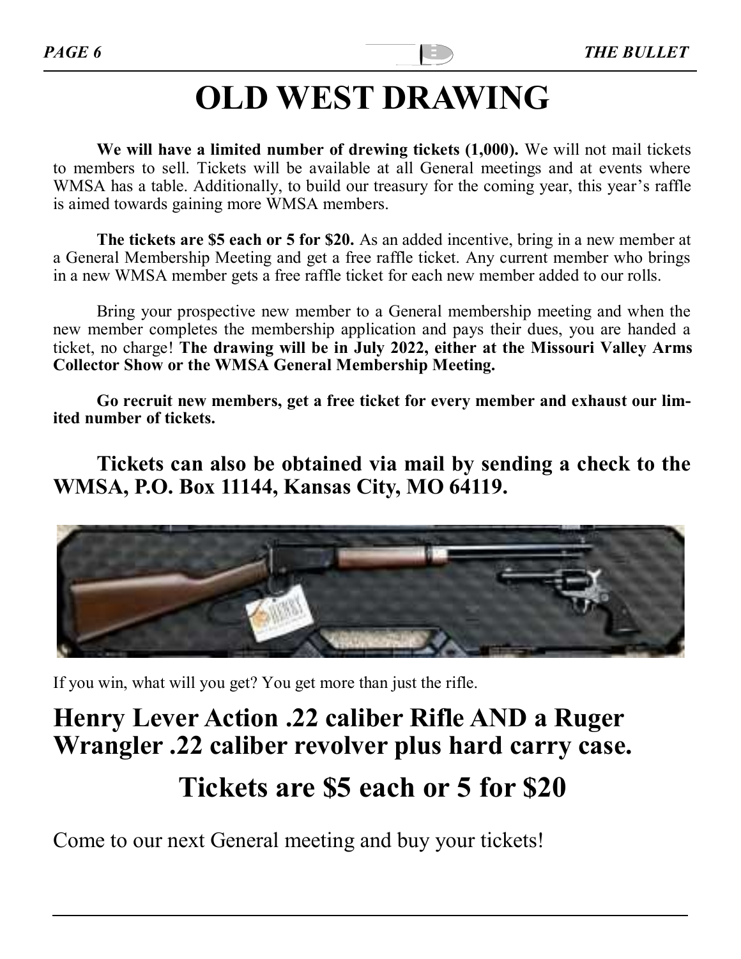# **[OLD](http://www.wmsa.net/?p=662) WEST DRAWING**

**We will have a limited number of drewing tickets (1,000).** We will not mail tickets to members to sell. Tickets will be available at all General meetings and at events where WMSA has a table. Additionally, to build our treasury for the coming year, this year's raffle is aimed towards gaining more WMSA members.

**The tickets are \$5 each or 5 for \$20.** As an added incentive, bring in a new member at a General Membership Meeting and get a free raffle ticket. Any current member who brings in a new WMSA member gets a free raffle ticket for each new member added to our rolls.

Bring your prospective new member to a General membership meeting and when the new member completes the membership application and pays their dues, you are handed a ticket, no charge! **The drawing will be in July 2022, either at the Missouri Valley Arms Collector Show or the WMSA General Membership Meeting.**

**Go recruit new members, get a free ticket for every member and exhaust our limited number of tickets.** 

**Tickets can also be obtained via mail by sending a check to the WMSA, P.O. Box 11144, Kansas City, MO 64119.**



If you win, what will you get? You get more than just the rifle.

# **Henry Lever Action .22 caliber Rifle AND a Ruger Wrangler .22 caliber revolver plus hard carry case. Tickets are \$5 each or 5 for \$20**

Come to our next General meeting and buy your tickets!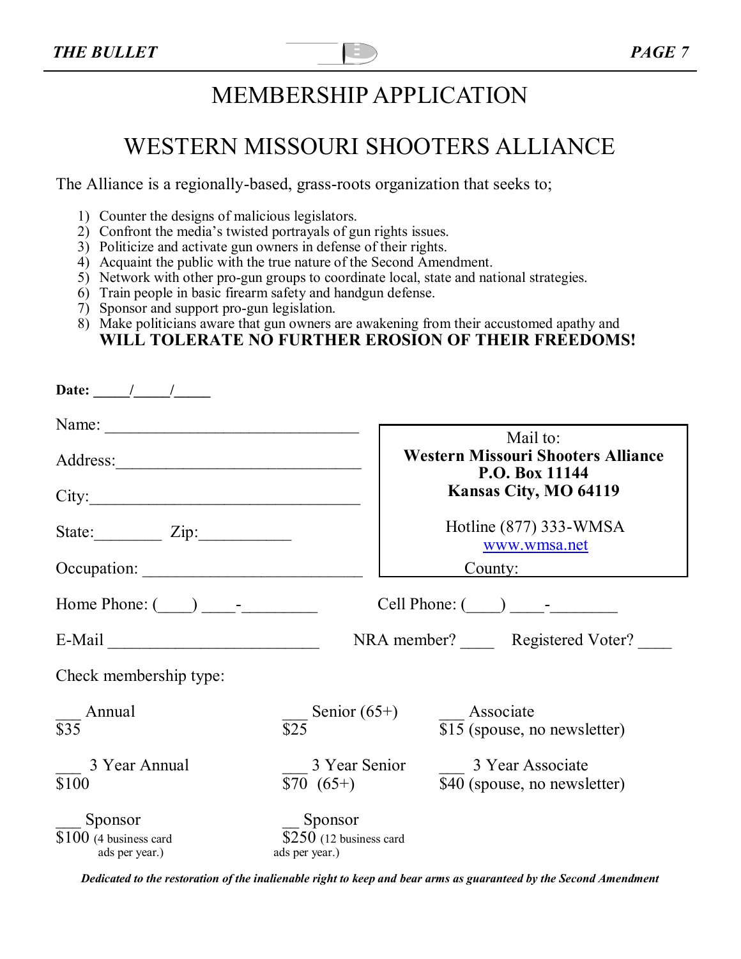# MEMBERSHIP APPLICATION

# WESTERN MISSOURI SHOOTERS ALLIANCE

The Alliance is a regionally-based, grass-roots organization that seeks to;

- 1) Counter the designs of malicious legislators.
- 2) Confront the media's twisted portrayals of gun rights issues.
- 3) Politicize and activate gun owners in defense of their rights.
- 4) Acquaint the public with the true nature of the Second Amendment.
- 5) Network with other pro-gun groups to coordinate local, state and national strategies.
- 6) Train people in basic firearm safety and handgun defense.
- 7) Sponsor and support pro-gun legislation.
- 8) Make politicians aware that gun owners are awakening from their accustomed apathy and **WILL TOLERATE NO FURTHER EROSION OF THEIR FREEDOMS!**

| Date: $\frac{1}{\sqrt{1-\frac{1}{2}}}$               |                                                       |                                                             |  |
|------------------------------------------------------|-------------------------------------------------------|-------------------------------------------------------------|--|
|                                                      |                                                       | Mail to:                                                    |  |
|                                                      |                                                       | <b>Western Missouri Shooters Alliance</b><br>P.O. Box 11144 |  |
| City:                                                |                                                       | Kansas City, MO 64119                                       |  |
| State: $\angle Zip:$                                 |                                                       | Hotline (877) 333-WMSA<br>www.wmsa.net                      |  |
| Occupation:                                          |                                                       | County: $\qquad \qquad$                                     |  |
| Home Phone: $(\_\_\_\_\_\_$                          |                                                       |                                                             |  |
| $E-Mail$                                             | NRA member? Registered Voter?                         |                                                             |  |
| Check membership type:                               |                                                       |                                                             |  |
| Annual<br>$\overline{$35}$                           | Senior $(65+)$<br>$\overline{$}25$                    | Associate<br>$\overline{$15}$$ (spouse, no newsletter)      |  |
| 3 Year Annual<br>\$100                               | 3 Year Senior<br>$$70 (65+)$                          | 3 Year Associate<br>\$40 (spouse, no newsletter)            |  |
| Sponsor<br>$$100$ (4 business card<br>ads per year.) | Sponsor<br>$$250$ (12 business card<br>ads per year.) |                                                             |  |

*Dedicated to the restoration of the inalienable right to keep and bear arms as guaranteed by the Second Amendment*